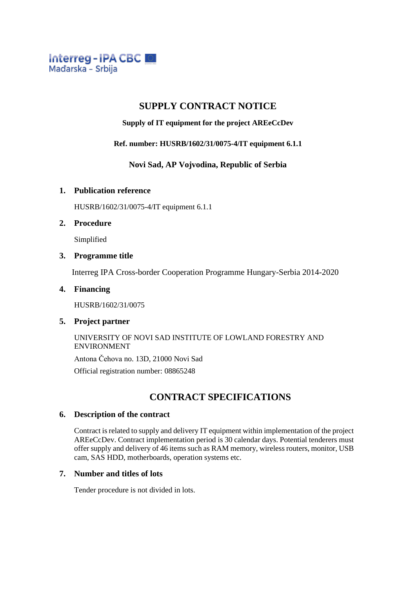

# **SUPPLY CONTRACT NOTICE**

**Supply of IT equipment for the project AREeCcDev**

**Ref. number: HUSRB/1602/31/0075-4/IT equipment 6.1.1**

**Novi Sad, AP Vojvodina, Republic of Serbia**

## **1. Publication reference**

HUSRB/1602/31/0075-4/IT equipment 6.1.1

## **2. Procedure**

Simplified

### **3. Programme title**

Interreg IPA Cross-border Cooperation Programme Hungary-Serbia 2014-2020

## **4. Financing**

HUSRB/1602/31/0075

## **5. Project partner**

## UNIVERSITY OF NOVI SAD INSTITUTE OF LOWLAND FORESTRY AND ENVIRONMENT

Antona Čehova no. 13D, 21000 Novi Sad

Official registration number: 08865248

# **CONTRACT SPECIFICATIONS**

## **6. Description of the contract**

Contract is related to supply and delivery IT equipment within implementation of the project AREeCcDev. Contract implementation period is 30 calendar days. Potential tenderers must offer supply and delivery of 46 items such as RAM memory, wireless routers, monitor, USB cam, SAS HDD, motherboards, operation systems etc.

## **7. Number and titles of lots**

Tender procedure is not divided in lots.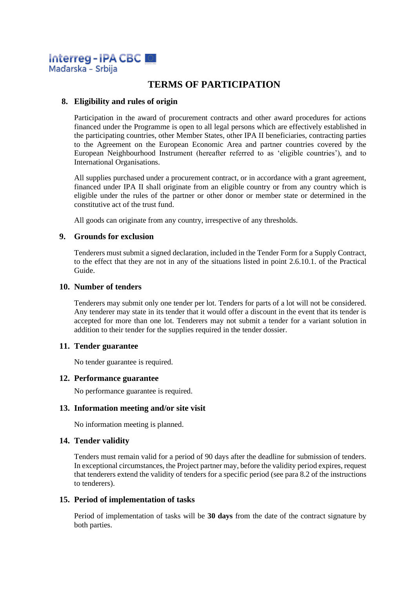

# **TERMS OF PARTICIPATION**

## **8. Eligibility and rules of origin**

Participation in the award of procurement contracts and other award procedures for actions financed under the Programme is open to all legal persons which are effectively established in the participating countries, other Member States, other IPA II beneficiaries, contracting parties to the Agreement on the European Economic Area and partner countries covered by the European Neighbourhood Instrument (hereafter referred to as 'eligible countries'), and to International Organisations.

All supplies purchased under a procurement contract, or in accordance with a grant agreement, financed under IPA II shall originate from an eligible country or from any country which is eligible under the rules of the partner or other donor or member state or determined in the constitutive act of the trust fund.

All goods can originate from any country, irrespective of any thresholds.

#### **9. Grounds for exclusion**

Tenderers must submit a signed declaration, included in the Tender Form for a Supply Contract, to the effect that they are not in any of the situations listed in point 2.6.10.1. of the Practical Guide.

#### **10. Number of tenders**

Tenderers may submit only one tender per lot. Tenders for parts of a lot will not be considered. Any tenderer may state in its tender that it would offer a discount in the event that its tender is accepted for more than one lot. Tenderers may not submit a tender for a variant solution in addition to their tender for the supplies required in the tender dossier.

#### **11. Tender guarantee**

No tender guarantee is required.

#### **12. Performance guarantee**

No performance guarantee is required.

#### **13. Information meeting and/or site visit**

No information meeting is planned.

## **14. Tender validity**

Tenders must remain valid for a period of 90 days after the deadline for submission of tenders. In exceptional circumstances, the Project partner may, before the validity period expires, request that tenderers extend the validity of tenders for a specific period (see para 8.2 of the instructions to tenderers).

#### **15. Period of implementation of tasks**

Period of implementation of tasks will be **30 days** from the date of the contract signature by both parties.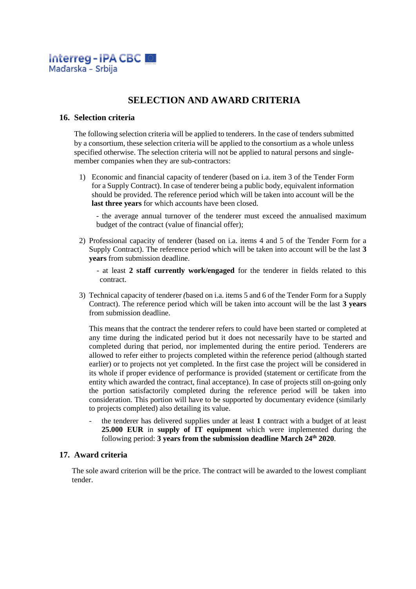

# **SELECTION AND AWARD CRITERIA**

#### **16. Selection criteria**

The following selection criteria will be applied to tenderers. In the case of tenders submitted by a consortium, these selection criteria will be applied to the consortium as a whole unless specified otherwise. The selection criteria will not be applied to natural persons and singlemember companies when they are sub-contractors:

1) Economic and financial capacity of tenderer (based on i.a. item 3 of the Tender Form for a Supply Contract). In case of tenderer being a public body, equivalent information should be provided. The reference period which will be taken into account will be the **last three years** for which accounts have been closed.

- the average annual turnover of the tenderer must exceed the annualised maximum budget of the contract (value of financial offer);

2) Professional capacity of tenderer (based on i.a. items 4 and 5 of the Tender Form for a Supply Contract). The reference period which will be taken into account will be the last **3 years** from submission deadline.

- at least **2 staff currently work/engaged** for the tenderer in fields related to this contract.

3) Technical capacity of tenderer *(*based on i.a. items 5 and 6 of the Tender Form for a Supply Contract). The reference period which will be taken into account will be the last **3 years** from submission deadline.

This means that the contract the tenderer refers to could have been started or completed at any time during the indicated period but it does not necessarily have to be started and completed during that period, nor implemented during the entire period. Tenderers are allowed to refer either to projects completed within the reference period (although started earlier) or to projects not yet completed. In the first case the project will be considered in its whole if proper evidence of performance is provided (statement or certificate from the entity which awarded the contract, final acceptance). In case of projects still on-going only the portion satisfactorily completed during the reference period will be taken into consideration. This portion will have to be supported by documentary evidence (similarly to projects completed) also detailing its value.

the tenderer has delivered supplies under at least 1 contract with a budget of at least **25.000 EUR** in **supply of IT equipment** which were implemented during the following period: **3 years from the submission deadline March 24 th 2020**.

#### **17. Award criteria**

The sole award criterion will be the price. The contract will be awarded to the lowest compliant tender.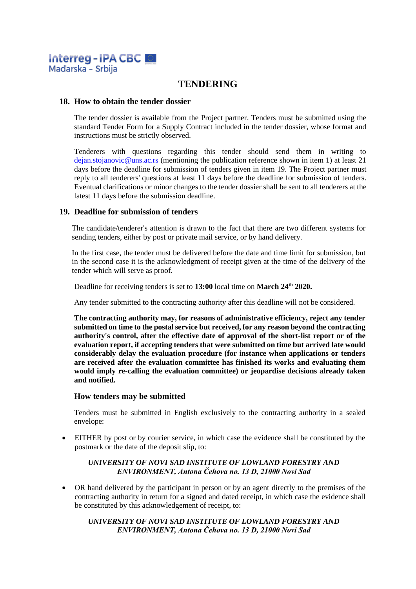

# **TENDERING**

### **18. How to obtain the tender dossier**

The tender dossier is available from the Project partner. Tenders must be submitted using the standard Tender Form for a Supply Contract included in the tender dossier, whose format and instructions must be strictly observed.

Tenderers with questions regarding this tender should send them in writing to dejan.stojanovic@uns.ac.rs (mentioning the publication reference shown in item 1) at least 21 days before the deadline for submission of tenders given in item 19. The Project partner must reply to all tenderers' questions at least 11 days before the deadline for submission of tenders. Eventual clarifications or minor changes to the tender dossier shall be sent to all tenderers at the latest 11 days before the submission deadline.

## **19. Deadline for submission of tenders**

The candidate/tenderer's attention is drawn to the fact that there are two different systems for sending tenders, either by post or private mail service, or by hand delivery.

In the first case, the tender must be delivered before the date and time limit for submission, but in the second case it is the acknowledgment of receipt given at the time of the delivery of the tender which will serve as proof.

Deadline for receiving tenders is set to **13:00** local time on **March 24 th 2020.**

Any tender submitted to the contracting authority after this deadline will not be considered.

**The contracting authority may, for reasons of administrative efficiency, reject any tender submitted on time to the postal service but received, for any reason beyond the contracting authority's control, after the effective date of approval of the short-list report or of the evaluation report, if accepting tenders that were submitted on time but arrived late would considerably delay the evaluation procedure (for instance when applications or tenders are received after the evaluation committee has finished its works and evaluating them would imply re-calling the evaluation committee) or jeopardise decisions already taken and notified.**

#### **How tenders may be submitted**

Tenders must be submitted in English exclusively to the contracting authority in a sealed envelope:

• EITHER by post or by courier service, in which case the evidence shall be constituted by the postmark or the date of the deposit slip, to:

#### *UNIVERSITY OF NOVI SAD INSTITUTE OF LOWLAND FORESTRY AND ENVIRONMENT, Antona Čehova no. 13 D, 21000 Novi Sad*

• OR hand delivered by the participant in person or by an agent directly to the premises of the contracting authority in return for a signed and dated receipt, in which case the evidence shall be constituted by this acknowledgement of receipt, to:

### *UNIVERSITY OF NOVI SAD INSTITUTE OF LOWLAND FORESTRY AND ENVIRONMENT, Antona Čehova no. 13 D, 21000 Novi Sad*